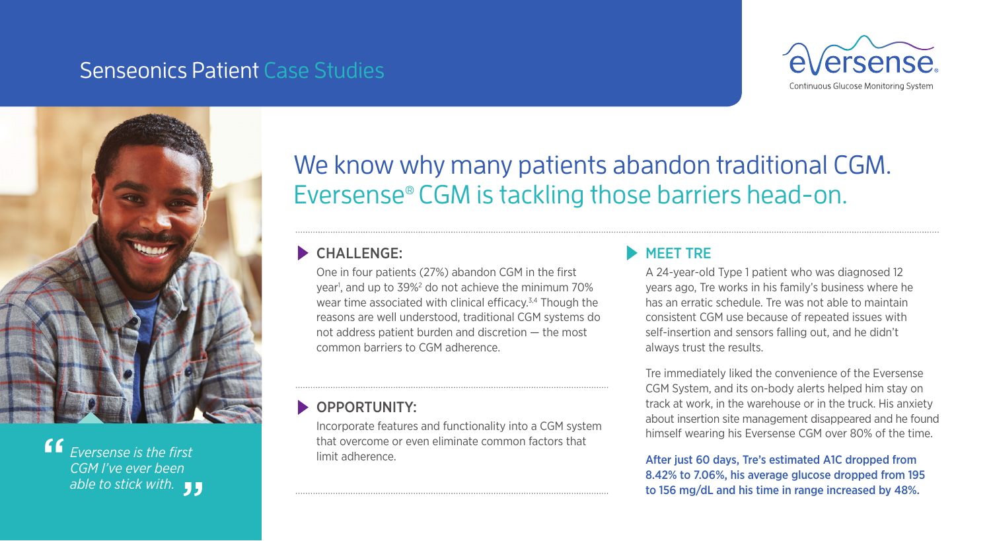### Senseonics Patient Case Studies





*Eversense is the first CGM I've ever been*  able to stick with. <sub>JJ</sub><br>" "<br>"

## We know why many patients abandon traditional CGM. Eversense® CGM is tackling those barriers head-on.

#### CHALLENGE:

One in four patients (27%) abandon CGM in the first year<sup>1</sup>, and up to 39%<sup>2</sup> do not achieve the minimum 70% wear time associated with clinical efficacy.<sup>3,4</sup> Though the reasons are well understood, traditional CGM systems do not address patient burden and discretion — the most common barriers to CGM adherence.

#### OPPORTUNITY:

Incorporate features and functionality into a CGM system that overcome or even eliminate common factors that limit adherence.

#### MEET TRE

A 24-year-old Type 1 patient who was diagnosed 12 years ago, Tre works in his family's business where he has an erratic schedule. Tre was not able to maintain consistent CGM use because of repeated issues with self-insertion and sensors falling out, and he didn't always trust the results.

Tre immediately liked the convenience of the Eversense CGM System, and its on-body alerts helped him stay on track at work, in the warehouse or in the truck. His anxiety about insertion site management disappeared and he found himself wearing his Eversense CGM over 80% of the time.

After just 60 days, Tre's estimated A1C dropped from 8.42% to 7.06%, his average glucose dropped from 195 to 156 mg/dL and his time in range increased by 48%.